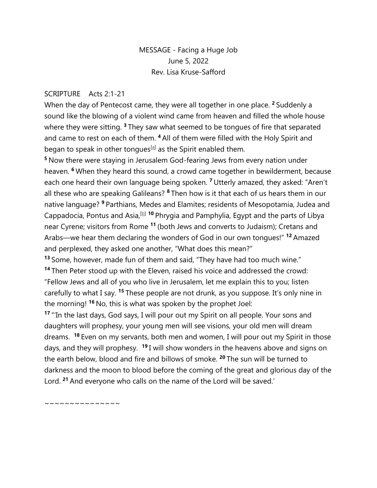## MESSAGE - Facing a Huge Job June 5, 2022 Rev. Lisa Kruse-Safford

## SCRIPTURE Acts 2:1-21

When the day of Pentecost came, they were all together in one place. **<sup>2</sup>** Suddenly a sound like the blowing of a violent wind came from heaven and filled the whole house where they were sitting. **<sup>3</sup>** They saw what seemed to be tongues of fire that separated and came to rest on each of them. **<sup>4</sup>** All of them were filled with the Holy Spirit and began to speak in other tongues<sup>[\[a\]](https://www.biblegateway.com/passage/?search=Acts+2%3A1-21&version=NIV#fen-NIV-26954a)</sup> as the Spirit enabled them.

**<sup>5</sup>** Now there were staying in Jerusalem God-fearing Jews from every nation under heaven. **<sup>6</sup>** When they heard this sound, a crowd came together in bewilderment, because each one heard their own language being spoken. **<sup>7</sup>** Utterly amazed, they asked: "Aren't all these who are speaking Galileans? **<sup>8</sup>** Then how is it that each of us hears them in our native language? **<sup>9</sup>** Parthians, Medes and Elamites; residents of Mesopotamia, Judea and Cappadocia, Pontus and Asia,<sup>[\[b\]](https://www.biblegateway.com/passage/?search=Acts+2%3A1-21&version=NIV#fen-NIV-26959b)</sup> <sup>10</sup> Phrygia and Pamphylia, Egypt and the parts of Libya near Cyrene; visitors from Rome **<sup>11</sup>** (both Jews and converts to Judaism); Cretans and Arabs—we hear them declaring the wonders of God in our own tongues!" **<sup>12</sup>** Amazed and perplexed, they asked one another, "What does this mean?"

**<sup>13</sup>** Some, however, made fun of them and said, "They have had too much wine." **<sup>14</sup>** Then Peter stood up with the Eleven, raised his voice and addressed the crowd: "Fellow Jews and all of you who live in Jerusalem, let me explain this to you; listen carefully to what I say. **<sup>15</sup>** These people are not drunk, as you suppose. It's only nine in the morning! **<sup>16</sup>** No, this is what was spoken by the prophet Joel:

**<sup>17</sup>** "'In the last days, God says, I will pour out my Spirit on all people. Your sons and daughters will prophesy, your young men will see visions, your old men will dream dreams. **<sup>18</sup>** Even on my servants, both men and women, I will pour out my Spirit in those days, and they will prophesy. <sup>19</sup> I will show wonders in the heavens above and signs on the earth below, blood and fire and billows of smoke. **<sup>20</sup>** The sun will be turned to darkness and the moon to blood before the coming of the great and glorious day of the Lord. **<sup>21</sup>** And everyone who calls on the name of the Lord will be saved.'

~~~~~~~~~~~~~~~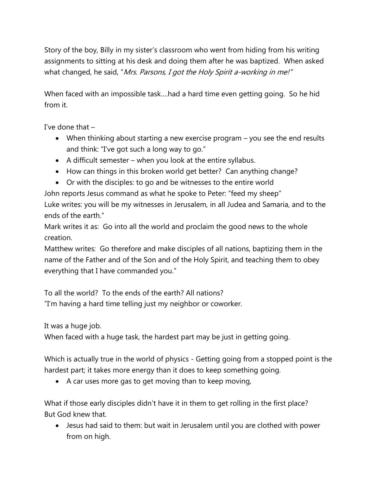Story of the boy, Billy in my sister's classroom who went from hiding from his writing assignments to sitting at his desk and doing them after he was baptized. When asked what changed, he said, "Mrs. Parsons, I got the Holy Spirit a-working in me!"

When faced with an impossible task….had a hard time even getting going. So he hid from it.

I've done that –

- When thinking about starting a new exercise program you see the end results and think: "I've got such a long way to go."
- $\bullet$  A difficult semester when you look at the entire syllabus.
- How can things in this broken world get better? Can anything change?
- Or with the disciples: to go and be witnesses to the entire world

John reports Jesus command as what he spoke to Peter: "feed my sheep"

Luke writes: you will be my witnesses in Jerusalem, in all Judea and Samaria, and to the ends of the earth."

Mark writes it as: Go into all the world and proclaim the good news to the whole creation.

Matthew writes: Go therefore and make disciples of all nations, baptizing them in the name of the Father and of the Son and of the Holy Spirit, and teaching them to obey everything that I have commanded you."

To all the world? To the ends of the earth? All nations? "I'm having a hard time telling just my neighbor or coworker.

It was a huge job.

When faced with a huge task, the hardest part may be just in getting going.

Which is actually true in the world of physics - Getting going from a stopped point is the hardest part; it takes more energy than it does to keep something going.

A car uses more gas to get moving than to keep moving,

What if those early disciples didn't have it in them to get rolling in the first place? But God knew that.

 Jesus had said to them: but wait in Jerusalem until you are clothed with power from on high.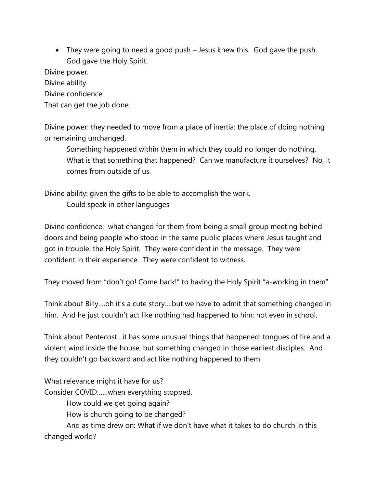They were going to need a good push – Jesus knew this. God gave the push. God gave the Holy Spirit.

Divine power.

Divine ability.

Divine confidence.

That can get the job done.

Divine power: they needed to move from a place of inertia: the place of doing nothing or remaining unchanged.

Something happened within them in which they could no longer do nothing. What is that something that happened? Can we manufacture it ourselves? No, it comes from outside of us.

Divine ability: given the gifts to be able to accomplish the work.

Could speak in other languages

Divine confidence: what changed for them from being a small group meeting behind doors and being people who stood in the same public places where Jesus taught and got in trouble: the Holy Spirit. They were confident in the message. They were confident in their experience. They were confident to witness.

They moved from "don't go! Come back!" to having the Holy Spirit "a-working in them"

Think about Billy….oh it's a cute story….but we have to admit that something changed in him. And he just couldn't act like nothing had happened to him; not even in school.

Think about Pentecost…it has some unusual things that happened: tongues of fire and a violent wind inside the house, but something changed in those earliest disciples. And they couldn't go backward and act like nothing happened to them.

What relevance might it have for us?

Consider COVID……when everything stopped.

How could we get going again?

How is church going to be changed?

And as time drew on: What if we don't have what it takes to do church in this changed world?